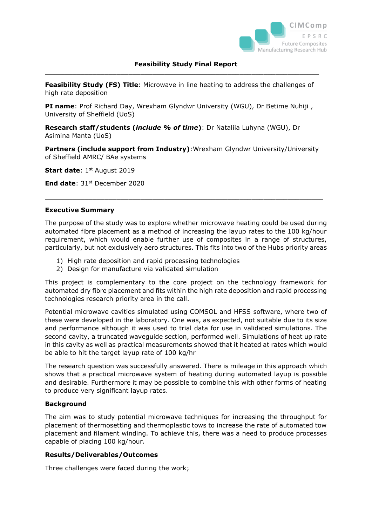

**Feasibility Study (FS) Title**: Microwave in line heating to address the challenges of high rate deposition

 $\_$  , and the set of the set of the set of the set of the set of the set of the set of the set of the set of the set of the set of the set of the set of the set of the set of the set of the set of the set of the set of th

**PI name**: Prof Richard Day, Wrexham Glyndwr University (WGU), Dr Betime Nuhiji , University of Sheffield (UoS)

**Research staff/students (***include % of time***)**: Dr Nataliia Luhyna (WGU), Dr Asimina Manta (UoS)

**Partners (include support from Industry)**:Wrexham Glyndwr University/University of Sheffield AMRC/ BAe systems

 $\_$  , and the set of the set of the set of the set of the set of the set of the set of the set of the set of the set of the set of the set of the set of the set of the set of the set of the set of the set of the set of th

**Start date**: 1<sup>st</sup> August 2019

**End date: 31st December 2020** 

#### **Executive Summary**

The purpose of the study was to explore whether microwave heating could be used during automated fibre placement as a method of increasing the layup rates to the 100 kg/hour requirement, which would enable further use of composites in a range of structures, particularly, but not exclusively aero structures. This fits into two of the Hubs priority areas

- 1) High rate deposition and rapid processing technologies
- 2) Design for manufacture via validated simulation

This project is complementary to the core project on the technology framework for automated dry fibre placement and fits within the high rate deposition and rapid processing technologies research priority area in the call.

Potential microwave cavities simulated using COMSOL and HFSS software, where two of these were developed in the laboratory. One was, as expected, not suitable due to its size and performance although it was used to trial data for use in validated simulations. The second cavity, a truncated waveguide section, performed well. Simulations of heat up rate in this cavity as well as practical measurements showed that it heated at rates which would be able to hit the target layup rate of 100 kg/hr

The research question was successfully answered. There is mileage in this approach which shows that a practical microwave system of heating during automated layup is possible and desirable. Furthermore it may be possible to combine this with other forms of heating to produce very significant layup rates.

#### **Background**

The aim was to study potential microwave techniques for increasing the throughput for placement of thermosetting and thermoplastic tows to increase the rate of automated tow placement and filament winding. To achieve this, there was a need to produce processes capable of placing 100 kg/hour.

#### **Results/Deliverables/Outcomes**

Three challenges were faced during the work;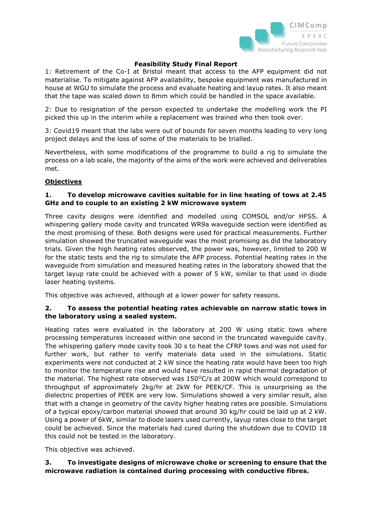

1: Retirement of the Co-I at Bristol meant that access to the AFP equipment did not materialise. To mitigate against AFP availability, bespoke equipment was manufactured in house at WGU to simulate the process and evaluate heating and layup rates. It also meant that the tape was scaled down to 8mm which could be handled in the space available.

2: Due to resignation of the person expected to undertake the modelling work the PI picked this up in the interim while a replacement was trained who then took over.

3: Covid19 meant that the labs were out of bounds for seven months leading to very long project delays and the loss of some of the materials to be trialled.

Nevertheless, with some modifications of the programme to build a rig to simulate the process on a lab scale, the majority of the aims of the work were achieved and deliverables met.

### **Objectives**

## **1. To develop microwave cavities suitable for in line heating of tows at 2.45 GHz and to couple to an existing 2 kW microwave system**

Three cavity designs were identified and modelled using COMSOL and/or HFSS. A whispering gallery mode cavity and truncated WR9a waveguide section were identified as the most promising of these. Both designs were used for practical measurements. Further simulation showed the truncated waveguide was the most promising as did the laboratory trials. Given the high heating rates observed, the power was, however, limited to 200 W for the static tests and the rig to simulate the AFP process. Potential heating rates in the waveguide from simulation and measured heating rates in the laboratory showed that the target layup rate could be achieved with a power of 5 kW, similar to that used in diode laser heating systems.

This objective was achieved, although at a lower power for safety reasons.

### **2. To assess the potential heating rates achievable on narrow static tows in the laboratory using a sealed system.**

Heating rates were evaluated in the laboratory at 200 W using static tows where processing temperatures increased within one second in the truncated waveguide cavity. The whispering gallery mode cavity took 30 s to heat the CFRP tows and was not used for further work, but rather to verify materials data used in the simulations. Static experiments were not conducted at 2 kW since the heating rate would have been too high to monitor the temperature rise and would have resulted in rapid thermal degradation of the material. The highest rate observed was  $150^{\circ}$ C/s at 200W which would correspond to throughput of approximately 2kg/hr at 2kW for PEEK/CF. This is unsurprising as the dielectric properties of PEEK are very low. Simulations showed a very similar result, also that with a change in geometry of the cavity higher heating rates are possible. Simulations of a typical epoxy/carbon material showed that around 30 kg/hr could be laid up at 2 kW. Using a power of 6kW, similar to diode lasers used currently, layup rates close to the target could be achieved. Since the materials had cured during the shutdown due to COVID 18 this could not be tested in the laboratory.

This objective was achieved.

### **3. To investigate designs of microwave choke or screening to ensure that the microwave radiation is contained during processing with conductive fibres.**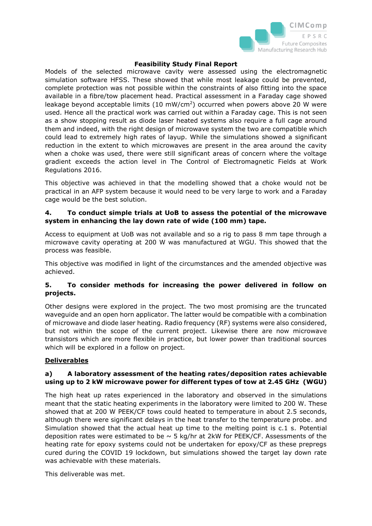

Models of the selected microwave cavity were assessed using the electromagnetic simulation software HFSS. These showed that while most leakage could be prevented, complete protection was not possible within the constraints of also fitting into the space available in a fibre/tow placement head. Practical assessment in a Faraday cage showed leakage beyond acceptable limits  $(10 \text{ mW/cm}^2)$  occurred when powers above 20 W were used. Hence all the practical work was carried out within a Faraday cage. This is not seen as a show stopping result as diode laser heated systems also require a full cage around them and indeed, with the right design of microwave system the two are compatible which could lead to extremely high rates of layup. While the simulations showed a significant reduction in the extent to which microwaves are present in the area around the cavity when a choke was used, there were still significant areas of concern where the voltage gradient exceeds the action level in The Control of Electromagnetic Fields at Work Regulations 2016.

This objective was achieved in that the modelling showed that a choke would not be practical in an AFP system because it would need to be very large to work and a Faraday cage would be the best solution.

## **4. To conduct simple trials at UoB to assess the potential of the microwave system in enhancing the lay down rate of wide (100 mm) tape.**

Access to equipment at UoB was not available and so a rig to pass 8 mm tape through a microwave cavity operating at 200 W was manufactured at WGU. This showed that the process was feasible.

This objective was modified in light of the circumstances and the amended objective was achieved.

# **5. To consider methods for increasing the power delivered in follow on projects.**

Other designs were explored in the project. The two most promising are the truncated waveguide and an open horn applicator. The latter would be compatible with a combination of microwave and diode laser heating. Radio frequency (RF) systems were also considered, but not within the scope of the current project. Likewise there are now microwave transistors which are more flexible in practice, but lower power than traditional sources which will be explored in a follow on project.

# **Deliverables**

### **a) A laboratory assessment of the heating rates/deposition rates achievable using up to 2 kW microwave power for different types of tow at 2.45 GHz (WGU)**

The high heat up rates experienced in the laboratory and observed in the simulations meant that the static heating experiments in the laboratory were limited to 200 W. These showed that at 200 W PEEK/CF tows could heated to temperature in about 2.5 seconds, although there were significant delays in the heat transfer to the temperature probe. and Simulation showed that the actual heat up time to the melting point is c.1 s. Potential deposition rates were estimated to be  $\sim$  5 kg/hr at 2kW for PEEK/CF. Assessments of the heating rate for epoxy systems could not be undertaken for epoxy/CF as these prepregs cured during the COVID 19 lockdown, but simulations showed the target lay down rate was achievable with these materials.

This deliverable was met.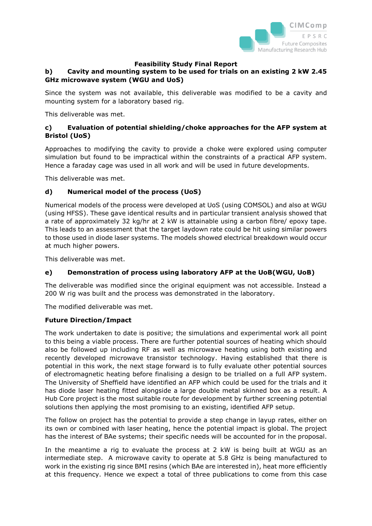

# **b) Cavity and mounting system to be used for trials on an existing 2 kW 2.45 GHz microwave system (WGU and UoS)**

Since the system was not available, this deliverable was modified to be a cavity and mounting system for a laboratory based rig.

This deliverable was met.

# **c) Evaluation of potential shielding/choke approaches for the AFP system at Bristol (UoS)**

Approaches to modifying the cavity to provide a choke were explored using computer simulation but found to be impractical within the constraints of a practical AFP system. Hence a faraday cage was used in all work and will be used in future developments.

This deliverable was met.

### **d) Numerical model of the process (UoS)**

Numerical models of the process were developed at UoS (using COMSOL) and also at WGU (using HFSS). These gave identical results and in particular transient analysis showed that a rate of approximately 32 kg/hr at 2 kW is attainable using a carbon fibre/ epoxy tape. This leads to an assessment that the target laydown rate could be hit using similar powers to those used in diode laser systems. The models showed electrical breakdown would occur at much higher powers.

This deliverable was met.

# **e) Demonstration of process using laboratory AFP at the UoB(WGU, UoB)**

The deliverable was modified since the original equipment was not accessible. Instead a 200 W rig was built and the process was demonstrated in the laboratory.

The modified deliverable was met.

#### **Future Direction/Impact**

The work undertaken to date is positive; the simulations and experimental work all point to this being a viable process. There are further potential sources of heating which should also be followed up including RF as well as microwave heating using both existing and recently developed microwave transistor technology. Having established that there is potential in this work, the next stage forward is to fully evaluate other potential sources of electromagnetic heating before finalising a design to be trialled on a full AFP system. The University of Sheffield have identified an AFP which could be used for the trials and it has diode laser heating fitted alongside a large double metal skinned box as a result. A Hub Core project is the most suitable route for development by further screening potential solutions then applying the most promising to an existing, identified AFP setup.

The follow on project has the potential to provide a step change in layup rates, either on its own or combined with laser heating, hence the potential impact is global. The project has the interest of BAe systems; their specific needs will be accounted for in the proposal.

In the meantime a rig to evaluate the process at 2 kW is being built at WGU as an intermediate step. A microwave cavity to operate at 5.8 GHz is being manufactured to work in the existing rig since BMI resins (which BAe are interested in), heat more efficiently at this frequency. Hence we expect a total of three publications to come from this case